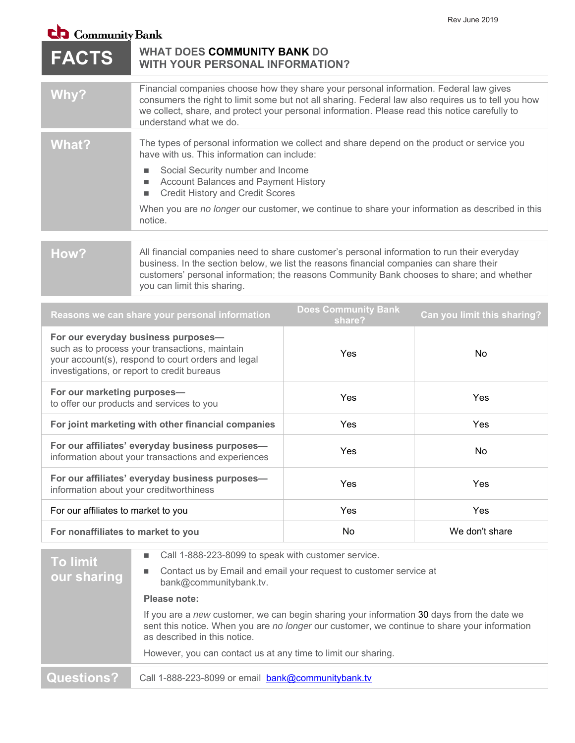## $\mathbf{ch}$  Community Bank

| <b>FACTS</b>                                                                                                                                                                               | $\blacksquare$ Continuum Dank<br><b>WHAT DOES COMMUNITY BANK DO</b><br><b>WITH YOUR PERSONAL INFORMATION?</b>                                                                                                                                                                                                                                                                                             |     |                |
|--------------------------------------------------------------------------------------------------------------------------------------------------------------------------------------------|-----------------------------------------------------------------------------------------------------------------------------------------------------------------------------------------------------------------------------------------------------------------------------------------------------------------------------------------------------------------------------------------------------------|-----|----------------|
| Why?                                                                                                                                                                                       | Financial companies choose how they share your personal information. Federal law gives<br>consumers the right to limit some but not all sharing. Federal law also requires us to tell you how<br>we collect, share, and protect your personal information. Please read this notice carefully to<br>understand what we do.                                                                                 |     |                |
| <b>What?</b>                                                                                                                                                                               | The types of personal information we collect and share depend on the product or service you<br>have with us. This information can include:<br>Social Security number and Income<br>п<br>Account Balances and Payment History<br>L.<br><b>Credit History and Credit Scores</b><br>■<br>When you are no longer our customer, we continue to share your information as described in this<br>notice.          |     |                |
| How?                                                                                                                                                                                       | All financial companies need to share customer's personal information to run their everyday<br>business. In the section below, we list the reasons financial companies can share their<br>customers' personal information; the reasons Community Bank chooses to share; and whether<br>you can limit this sharing.                                                                                        |     |                |
| <b>Does Community Bank</b><br>Can you limit this sharing?<br>Reasons we can share your personal information<br>share?                                                                      |                                                                                                                                                                                                                                                                                                                                                                                                           |     |                |
| For our everyday business purposes-<br>such as to process your transactions, maintain<br>your account(s), respond to court orders and legal<br>investigations, or report to credit bureaus |                                                                                                                                                                                                                                                                                                                                                                                                           | Yes | <b>No</b>      |
| For our marketing purposes-<br>to offer our products and services to you                                                                                                                   |                                                                                                                                                                                                                                                                                                                                                                                                           | Yes | Yes            |
| For joint marketing with other financial companies                                                                                                                                         |                                                                                                                                                                                                                                                                                                                                                                                                           | Yes | Yes            |
| For our affiliates' everyday business purposes-<br>information about your transactions and experiences                                                                                     |                                                                                                                                                                                                                                                                                                                                                                                                           | Yes | No             |
| For our affiliates' everyday business purposes-<br>information about your creditworthiness                                                                                                 |                                                                                                                                                                                                                                                                                                                                                                                                           | Yes | Yes            |
| For our affiliates to market to you                                                                                                                                                        |                                                                                                                                                                                                                                                                                                                                                                                                           | Yes | Yes            |
| For nonaffiliates to market to you                                                                                                                                                         |                                                                                                                                                                                                                                                                                                                                                                                                           | No  | We don't share |
| <b>To limit</b><br>our sharing                                                                                                                                                             | Call 1-888-223-8099 to speak with customer service.<br>E<br>Contact us by Email and email your request to customer service at<br>п<br>bank@communitybank.tv.<br>Please note:<br>If you are a new customer, we can begin sharing your information 30 days from the date we<br>sent this notice. When you are no longer our customer, we continue to share your information<br>as described in this notice. |     |                |

However, you can contact us at any time to limit our sharing.

Questions? Call 1-888-223-8099 or email **bank@communitybank.tv**